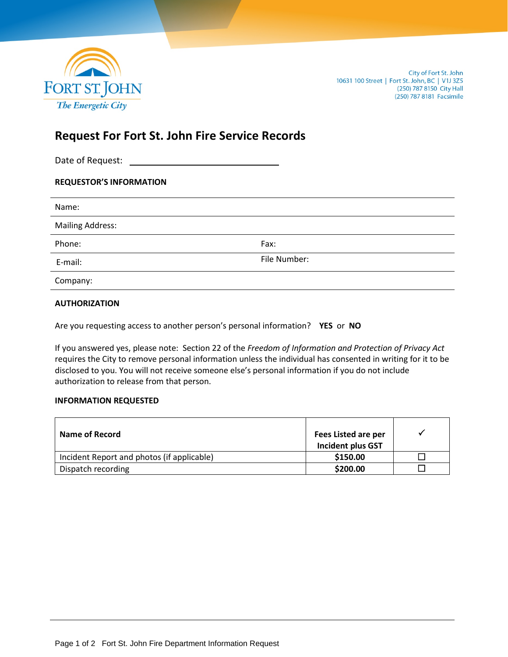

# **Request For Fort St. John Fire Service Records**

Date of Request:

| <b>REQUESTOR'S INFORMATION</b> |  |
|--------------------------------|--|
|--------------------------------|--|

| Name:                   |              |
|-------------------------|--------------|
| <b>Mailing Address:</b> |              |
| Phone:                  | Fax:         |
| E-mail:                 | File Number: |
| Company:                |              |

### **AUTHORIZATION**

Are you requesting access to another person's personal information? **YES** or **NO**

If you answered yes, please note: Section 22 of the *Freedom of Information and Protection of Privacy Act* requires the City to remove personal information unless the individual has consented in writing for it to be disclosed to you. You will not receive someone else's personal information if you do not include authorization to release from that person.

#### **INFORMATION REQUESTED**

| Name of Record                             | Fees Listed are per<br><b>Incident plus GST</b> |  |
|--------------------------------------------|-------------------------------------------------|--|
| Incident Report and photos (if applicable) | \$150.00                                        |  |
| Dispatch recording                         | \$200.00                                        |  |